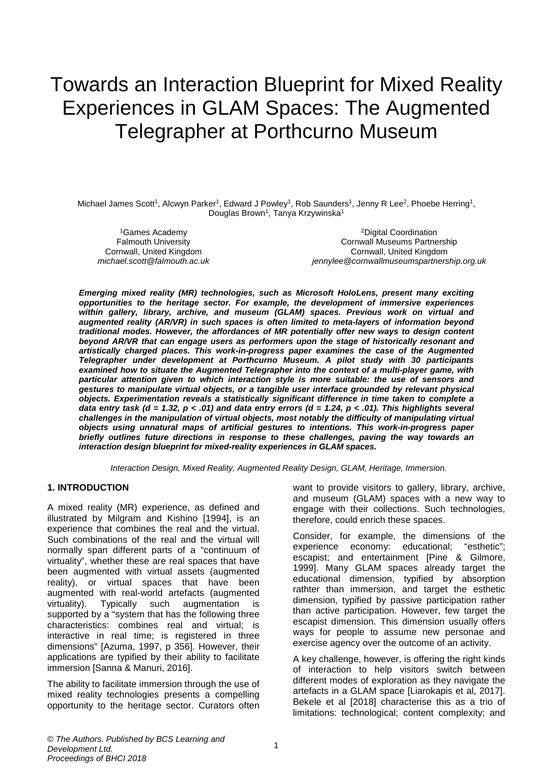# Towards an Interaction Blueprint for Mixed Reality Experiences in GLAM Spaces: The Augmented Telegrapher at Porthcurno Museum

Michael James Scott<sup>1</sup>, Alcwyn Parker<sup>1</sup>, Edward J Powley<sup>1</sup>, Rob Saunders<sup>1</sup>, Jenny R Lee<sup>2</sup>, Phoebe Herring<sup>1</sup>, Douglas Brown<sup>1</sup>, Tanya Krzywinska<sup>1</sup>

1Games Academy Falmouth University Cornwall, United Kingdom *michael.scott@falmouth.ac.uk*

2Digital Coordination Cornwall Museums Partnership Cornwall, United Kingdom *jennylee@cornwallmuseumspartnership.org.uk*

*Emerging mixed reality (MR) technologies, such as Microsoft HoloLens, present many exciting opportunities to the heritage sector. For example, the development of immersive experiences within gallery, library, archive, and museum (GLAM) spaces. Previous work on virtual and augmented reality (AR/VR) in such spaces is often limited to meta-layers of information beyond traditional modes. However, the affordances of MR potentially offer new ways to design content beyond AR/VR that can engage users as performers upon the stage of historically resonant and artistically charged places. This work-in-progress paper examines the case of the Augmented Telegrapher under development at Porthcurno Museum. A pilot study with 30 participants examined how to situate the Augmented Telegrapher into the context of a multi-player game, with particular attention given to which interaction style is more suitable: the use of sensors and gestures to manipulate virtual objects, or a tangible user interface grounded by relevant physical objects. Experimentation reveals a statistically significant difference in time taken to complete a data entry task (d = 1.32, p < .01) and data entry errors (d = 1.24, p < .01). This highlights several challenges in the manipulation of virtual objects, most notably the difficulty of manipulating virtual objects using unnatural maps of artificial gestures to intentions. This work-in-progress paper briefly outlines future directions in response to these challenges, paving the way towards an interaction design blueprint for mixed-reality experiences in GLAM spaces.* 

*Interaction Design, Mixed Reality, Augmented Reality Design, GLAM, Heritage, Immersion.*

#### **1. INTRODUCTION**

A mixed reality (MR) experience, as defined and illustrated by Milgram and Kishino [1994], is an experience that combines the real and the virtual. Such combinations of the real and the virtual will normally span different parts of a "continuum of virtuality", whether these are real spaces that have been augmented with virtual assets (augmented reality), or virtual spaces that have been augmented with real-world artefacts (augmented virtuality). Typically such augmentation is supported by a "system that has the following three characteristics: combines real and virtual; is interactive in real time; is registered in three dimensions" [Azuma, 1997, p 356]. However, their applications are typified by their ability to facilitate immersion [Sanna & Manuri, 2016].

The ability to facilitate immersion through the use of mixed reality technologies presents a compelling opportunity to the heritage sector. Curators often

want to provide visitors to gallery, library, archive, and museum (GLAM) spaces with a new way to engage with their collections. Such technologies, therefore, could enrich these spaces.

Consider, for example, the dimensions of the experience economy: educational; "esthetic"; escapist; and entertainment [Pine & Gilmore, 1999]. Many GLAM spaces already target the educational dimension, typified by absorption rathter than immersion, and target the esthetic dimension, typified by passive participation rather than active participation. However, few target the escapist dimension. This dimension usually offers ways for people to assume new personae and exercise agency over the outcome of an activity.

A key challenge, however, is offering the right kinds of interaction to help visitors switch between different modes of exploration as they navigate the artefacts in a GLAM space [Liarokapis et al, 2017]. Bekele et al [2018] characterise this as a trio of limitations: technological; content complexity; and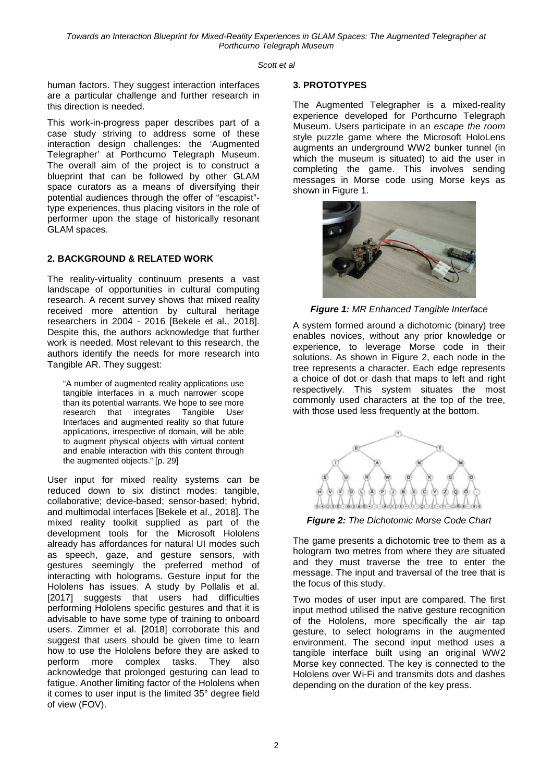*Towards an Interaction Blueprint for Mixed-Reality Experiences in GLAM Spaces: The Augmented Telegrapher at Porthcurno Telegraph Museum* 

#### *Scott et al*

human factors. They suggest interaction interfaces are a particular challenge and further research in this direction is needed.

This work-in-progress paper describes part of a case study striving to address some of these interaction design challenges: the 'Augmented Telegrapher' at Porthcurno Telegraph Museum. The overall aim of the project is to construct a blueprint that can be followed by other GLAM space curators as a means of diversifying their potential audiences through the offer of "escapist" type experiences, thus placing visitors in the role of performer upon the stage of historically resonant GLAM spaces.

#### **2. BACKGROUND & RELATED WORK**

The reality-virtuality continuum presents a vast landscape of opportunities in cultural computing research. A recent survey shows that mixed reality received more attention by cultural heritage researchers in 2004 - 2016 [Bekele et al., 2018]. Despite this, the authors acknowledge that further work is needed. Most relevant to this research, the authors identify the needs for more research into Tangible AR. They suggest:

"A number of augmented reality applications use tangible interfaces in a much narrower scope than its potential warrants. We hope to see more<br>research that integrates Tangible User research that integrates Interfaces and augmented reality so that future applications, irrespective of domain, will be able to augment physical objects with virtual content and enable interaction with this content through the augmented objects." [p. 29]

User input for mixed reality systems can be reduced down to six distinct modes: tangible, collaborative; device-based; sensor-based; hybrid, and multimodal interfaces [Bekele et al., 2018]. The mixed reality toolkit supplied as part of the development tools for the Microsoft Hololens already has affordances for natural UI modes such as speech, gaze, and gesture sensors, with gestures seemingly the preferred method of interacting with holograms. Gesture input for the Hololens has issues. A study by Pollalis et al. [2017] suggests that users had difficulties performing Hololens specific gestures and that it is advisable to have some type of training to onboard users. Zimmer et al. [2018] corroborate this and suggest that users should be given time to learn how to use the Hololens before they are asked to perform more complex tasks. They also acknowledge that prolonged gesturing can lead to fatigue. Another limiting factor of the Hololens when it comes to user input is the limited 35° degree field of view (FOV).

#### **3. PROTOTYPES**

The Augmented Telegrapher is a mixed-reality experience developed for Porthcurno Telegraph Museum. Users participate in an *escape the room* style puzzle game where the Microsoft HoloLens augments an underground WW2 bunker tunnel (in which the museum is situated) to aid the user in completing the game. This involves sending messages in Morse code using Morse keys as shown in Figure 1.



*Figure 1: MR Enhanced Tangible Interface*

A system formed around a dichotomic (binary) tree enables novices, without any prior knowledge or experience, to leverage Morse code in their solutions. As shown in Figure 2, each node in the tree represents a character. Each edge represents a choice of dot or dash that maps to left and right respectively. This system situates the most commonly used characters at the top of the tree, with those used less frequently at the bottom.



*Figure 2: The Dichotomic Morse Code Chart*

The game presents a dichotomic tree to them as a hologram two metres from where they are situated and they must traverse the tree to enter the message. The input and traversal of the tree that is the focus of this study.

Two modes of user input are compared. The first input method utilised the native gesture recognition of the Hololens, more specifically the air tap gesture, to select holograms in the augmented environment. The second input method uses a tangible interface built using an original WW2 Morse key connected. The key is connected to the Hololens over Wi-Fi and transmits dots and dashes depending on the duration of the key press.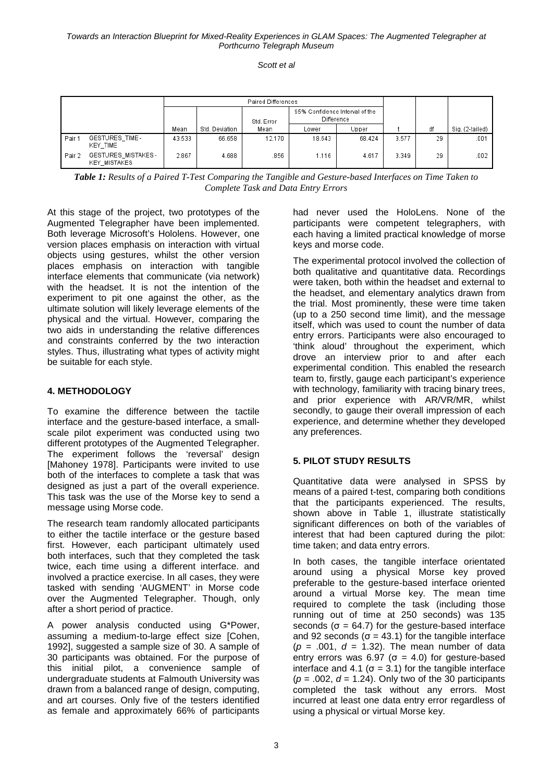*Scott et al*

|        | <b>Paired Differences</b>                 |        |                |            |                                              |        |       |    |                 |
|--------|-------------------------------------------|--------|----------------|------------|----------------------------------------------|--------|-------|----|-----------------|
|        |                                           |        |                | Std. Error | 95% Confidence Interval of the<br>Difference |        |       |    |                 |
|        |                                           | Mean   | Std. Deviation | Mean       | Lower                                        | Upper  |       | df | Sig. (2-tailed) |
| Pair 1 | GESTURES_TIME-<br>KEY_TIME                | 43.533 | 66.658         | 12.170     | 18.643                                       | 68.424 | 3.577 | 29 | .001            |
| Pair 2 | GESTURES MISTAKES-<br><b>KEY MISTAKES</b> | 2.867  | 4.688          | .856       | 1.116                                        | 4.617  | 3.349 | 29 | .002            |

*Table 1: Results of a Paired T-Test Comparing the Tangible and Gesture-based Interfaces on Time Taken to Complete Task and Data Entry Errors*

At this stage of the project, two prototypes of the Augmented Telegrapher have been implemented. Both leverage Microsoft's Hololens. However, one version places emphasis on interaction with virtual objects using gestures, whilst the other version places emphasis on interaction with tangible interface elements that communicate (via network) with the headset. It is not the intention of the experiment to pit one against the other, as the ultimate solution will likely leverage elements of the physical and the virtual. However, comparing the two aids in understanding the relative differences and constraints conferred by the two interaction styles. Thus, illustrating what types of activity might be suitable for each style.

## **4. METHODOLOGY**

To examine the difference between the tactile interface and the gesture-based interface, a smallscale pilot experiment was conducted using two different prototypes of the Augmented Telegrapher. The experiment follows the 'reversal' design [Mahoney 1978]. Participants were invited to use both of the interfaces to complete a task that was designed as just a part of the overall experience. This task was the use of the Morse key to send a message using Morse code.

The research team randomly allocated participants to either the tactile interface or the gesture based first. However, each participant ultimately used both interfaces, such that they completed the task twice, each time using a different interface. and involved a practice exercise. In all cases, they were tasked with sending 'AUGMENT' in Morse code over the Augmented Telegrapher. Though, only after a short period of practice.

A power analysis conducted using G\*Power, assuming a medium-to-large effect size [Cohen, 1992], suggested a sample size of 30. A sample of 30 participants was obtained. For the purpose of this initial pilot, a convenience sample of undergraduate students at Falmouth University was drawn from a balanced range of design, computing, and art courses. Only five of the testers identified as female and approximately 66% of participants had never used the HoloLens. None of the participants were competent telegraphers, with each having a limited practical knowledge of morse keys and morse code.

The experimental protocol involved the collection of both qualitative and quantitative data. Recordings were taken, both within the headset and external to the headset, and elementary analytics drawn from the trial. Most prominently, these were time taken (up to a 250 second time limit), and the message itself, which was used to count the number of data entry errors. Participants were also encouraged to 'think aloud' throughout the experiment, which drove an interview prior to and after each experimental condition. This enabled the research team to, firstly, gauge each participant's experience with technology, familiarity with tracing binary trees, and prior experience with AR/VR/MR, whilst secondly, to gauge their overall impression of each experience, and determine whether they developed any preferences.

#### **5. PILOT STUDY RESULTS**

Quantitative data were analysed in SPSS by means of a paired t-test, comparing both conditions that the participants experienced. The results, shown above in Table 1, illustrate statistically significant differences on both of the variables of interest that had been captured during the pilot: time taken; and data entry errors.

In both cases, the tangible interface orientated around using a physical Morse key proved preferable to the gesture-based interface oriented around a virtual Morse key. The mean time required to complete the task (including those running out of time at 250 seconds) was 135 seconds ( $\sigma$  = 64.7) for the gesture-based interface and 92 seconds ( $\sigma$  = 43.1) for the tangible interface (*p* = .001, *d* = 1.32). The mean number of data entry errors was 6.97 ( $\sigma$  = 4.0) for gesture-based interface and 4.1 ( $\sigma$  = 3.1) for the tangible interface (*p* = .002, *d* = 1.24). Only two of the 30 participants completed the task without any errors. Most incurred at least one data entry error regardless of using a physical or virtual Morse key.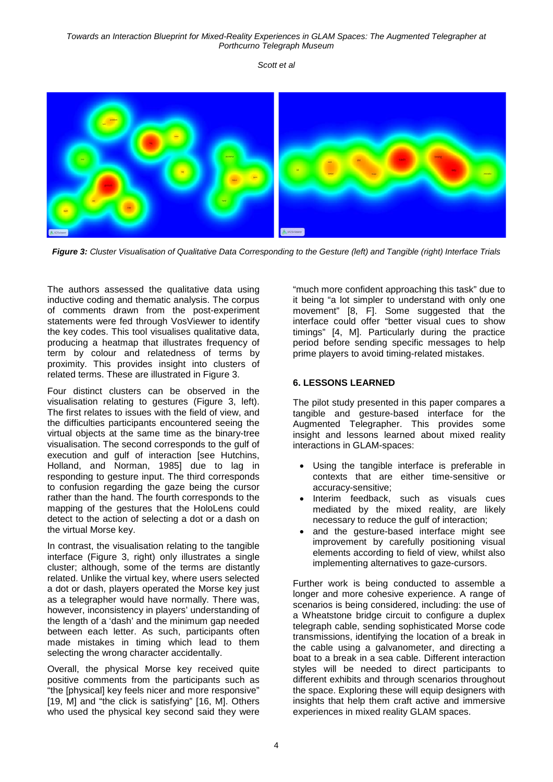*Scott et al*



*Figure 3: Cluster Visualisation of Qualitative Data Corresponding to the Gesture (left) and Tangible (right) Interface Trials* 

The authors assessed the qualitative data using inductive coding and thematic analysis. The corpus of comments drawn from the post-experiment statements were fed through VosViewer to identify the key codes. This tool visualises qualitative data, producing a heatmap that illustrates frequency of term by colour and relatedness of terms by proximity. This provides insight into clusters of related terms. These are illustrated in Figure 3.

Four distinct clusters can be observed in the visualisation relating to gestures (Figure 3, left). The first relates to issues with the field of view, and the difficulties participants encountered seeing the virtual objects at the same time as the binary-tree visualisation. The second corresponds to the gulf of execution and gulf of interaction [see Hutchins, Holland, and Norman, 1985] due to lag in responding to gesture input. The third corresponds to confusion regarding the gaze being the cursor rather than the hand. The fourth corresponds to the mapping of the gestures that the HoloLens could detect to the action of selecting a dot or a dash on the virtual Morse key.

In contrast, the visualisation relating to the tangible interface (Figure 3, right) only illustrates a single cluster; although, some of the terms are distantly related. Unlike the virtual key, where users selected a dot or dash, players operated the Morse key just as a telegrapher would have normally. There was, however, inconsistency in players' understanding of the length of a 'dash' and the minimum gap needed between each letter. As such, participants often made mistakes in timing which lead to them selecting the wrong character accidentally.

Overall, the physical Morse key received quite positive comments from the participants such as "the [physical] key feels nicer and more responsive" [19, M] and "the click is satisfying" [16, M]. Others who used the physical key second said they were

"much more confident approaching this task" due to it being "a lot simpler to understand with only one movement" [8, F]. Some suggested that the interface could offer "better visual cues to show timings" [4, M]. Particularly during the practice period before sending specific messages to help prime players to avoid timing-related mistakes.

## **6. LESSONS LEARNED**

The pilot study presented in this paper compares a tangible and gesture-based interface for the Augmented Telegrapher. This provides some insight and lessons learned about mixed reality interactions in GLAM-spaces:

- Using the tangible interface is preferable in contexts that are either time-sensitive or accuracy-sensitive;
- Interim feedback, such as visuals cues mediated by the mixed reality, are likely necessary to reduce the gulf of interaction;
- and the gesture-based interface might see improvement by carefully positioning visual elements according to field of view, whilst also implementing alternatives to gaze-cursors.

Further work is being conducted to assemble a longer and more cohesive experience. A range of scenarios is being considered, including: the use of a Wheatstone bridge circuit to configure a duplex telegraph cable, sending sophisticated Morse code transmissions, identifying the location of a break in the cable using a galvanometer, and directing a boat to a break in a sea cable. Different interaction styles will be needed to direct participants to different exhibits and through scenarios throughout the space. Exploring these will equip designers with insights that help them craft active and immersive experiences in mixed reality GLAM spaces.